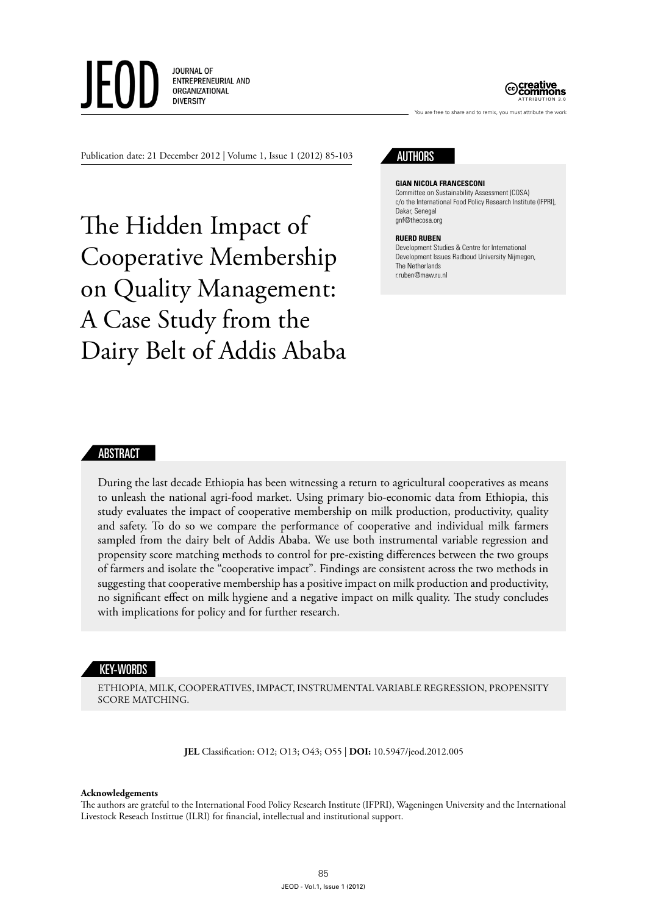**JOURNAL OF** ENTREPRENEURIAL AND ORGANIZATIONAL **DIVERSITY** 



Publication date: 21 December 2012 | Volume 1, Issue 1 (2012) 85-103

The Hidden Impact of Cooperative Membership on Quality Management: A Case Study from the Dairy Belt of Addis Ababa

# **AUTHORS**

**Gian Nicola Francesconi**

Committee on Sustainability Assessment (COSA) c/o the International Food Policy Research Institute (IFPRI), Dakar, Senegal gnf@thecosa.org

You are free to share and to remix, you must attribute the work

#### **Ruerd Ruben**

Development Studies & Centre for International Development Issues Radboud University Nijmegen, The Netherlands r.ruben@maw.ru.nl

### ABSTRACT

During the last decade Ethiopia has been witnessing a return to agricultural cooperatives as means to unleash the national agri-food market. Using primary bio-economic data from Ethiopia, this study evaluates the impact of cooperative membership on milk production, productivity, quality and safety. To do so we compare the performance of cooperative and individual milk farmers sampled from the dairy belt of Addis Ababa. We use both instrumental variable regression and propensity score matching methods to control for pre-existing differences between the two groups of farmers and isolate the "cooperative impact". Findings are consistent across the two methods in suggesting that cooperative membership has a positive impact on milk production and productivity, no significant effect on milk hygiene and a negative impact on milk quality. The study concludes with implications for policy and for further research.

#### KEY-WORDS

Ethiopia, Milk, Cooperatives, Impact, Instrumental Variable Regression, Propensity Score Matching.

**JEL** Classification: O12; O13; O43; O55 | **DOI:** 10.5947/jeod.2012.005

#### **Acknowledgements**

The authors are grateful to the International Food Policy Research Institute (IFPRI), Wageningen University and the International Livestock Reseach Instittue (ILRI) for financial, intellectual and institutional support.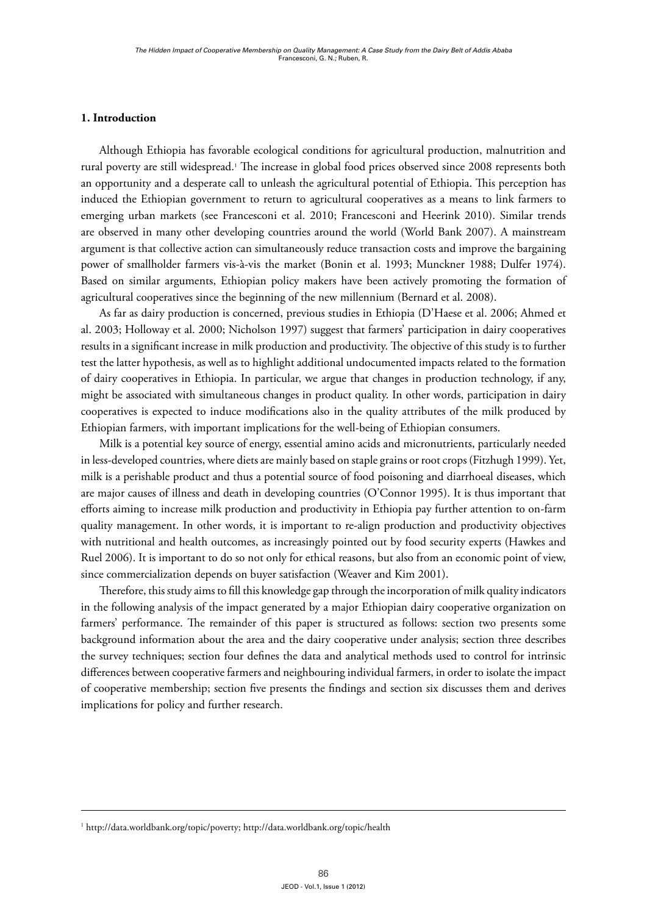# **1. Introduction**

Although Ethiopia has favorable ecological conditions for agricultural production, malnutrition and rural poverty are still widespread.<sup>1</sup> The increase in global food prices observed since 2008 represents both an opportunity and a desperate call to unleash the agricultural potential of Ethiopia. This perception has induced the Ethiopian government to return to agricultural cooperatives as a means to link farmers to emerging urban markets (see Francesconi et al. 2010; Francesconi and Heerink 2010). Similar trends are observed in many other developing countries around the world (World Bank 2007). A mainstream argument is that collective action can simultaneously reduce transaction costs and improve the bargaining power of smallholder farmers vis-à-vis the market (Bonin et al. 1993; Munckner 1988; Dulfer 1974). Based on similar arguments, Ethiopian policy makers have been actively promoting the formation of agricultural cooperatives since the beginning of the new millennium (Bernard et al. 2008).

As far as dairy production is concerned, previous studies in Ethiopia (D'Haese et al. 2006; Ahmed et al. 2003; Holloway et al. 2000; Nicholson 1997) suggest that farmers' participation in dairy cooperatives results in a significant increase in milk production and productivity. The objective of this study is to further test the latter hypothesis, as well as to highlight additional undocumented impacts related to the formation of dairy cooperatives in Ethiopia. In particular, we argue that changes in production technology, if any, might be associated with simultaneous changes in product quality. In other words, participation in dairy cooperatives is expected to induce modifications also in the quality attributes of the milk produced by Ethiopian farmers, with important implications for the well-being of Ethiopian consumers.

Milk is a potential key source of energy, essential amino acids and micronutrients, particularly needed in less-developed countries, where diets are mainly based on staple grains or root crops (Fitzhugh 1999). Yet, milk is a perishable product and thus a potential source of food poisoning and diarrhoeal diseases, which are major causes of illness and death in developing countries (O'Connor 1995). It is thus important that efforts aiming to increase milk production and productivity in Ethiopia pay further attention to on-farm quality management. In other words, it is important to re-align production and productivity objectives with nutritional and health outcomes, as increasingly pointed out by food security experts (Hawkes and Ruel 2006). It is important to do so not only for ethical reasons, but also from an economic point of view, since commercialization depends on buyer satisfaction (Weaver and Kim 2001).

Therefore, this study aims to fill this knowledge gap through the incorporation of milk quality indicators in the following analysis of the impact generated by a major Ethiopian dairy cooperative organization on farmers' performance. The remainder of this paper is structured as follows: section two presents some background information about the area and the dairy cooperative under analysis; section three describes the survey techniques; section four defines the data and analytical methods used to control for intrinsic differences between cooperative farmers and neighbouring individual farmers, in order to isolate the impact of cooperative membership; section five presents the findings and section six discusses them and derives implications for policy and further research.

<sup>1</sup> <http://data.worldbank.org/topic/poverty>; <http://data.worldbank.org/topic/health>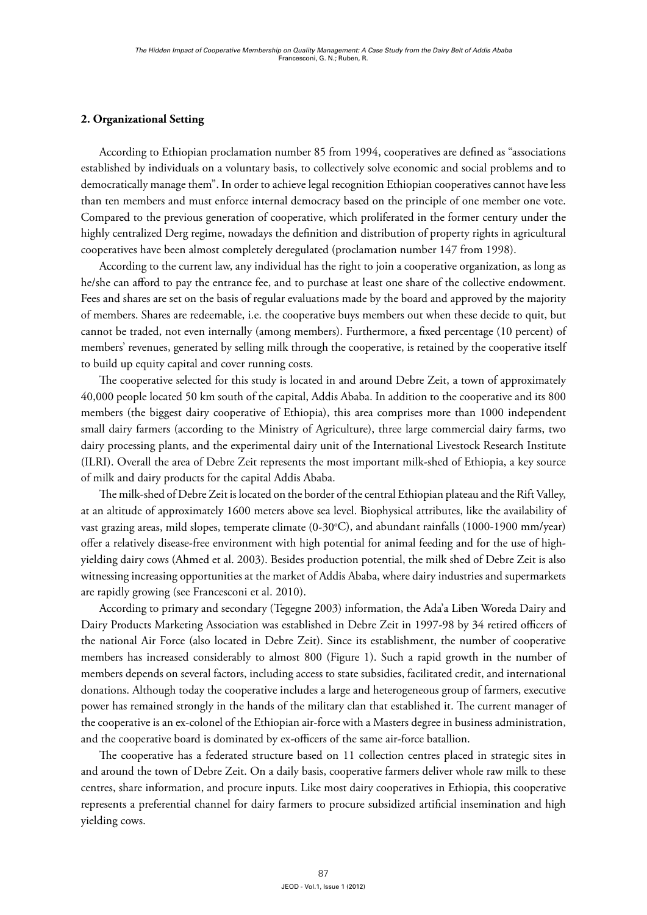# **2. Organizational Setting**

According to Ethiopian proclamation number 85 from 1994, cooperatives are defined as "associations established by individuals on a voluntary basis, to collectively solve economic and social problems and to democratically manage them". In order to achieve legal recognition Ethiopian cooperatives cannot have less than ten members and must enforce internal democracy based on the principle of one member one vote. Compared to the previous generation of cooperative, which proliferated in the former century under the highly centralized Derg regime, nowadays the definition and distribution of property rights in agricultural cooperatives have been almost completely deregulated (proclamation number 147 from 1998).

According to the current law, any individual has the right to join a cooperative organization, as long as he/she can afford to pay the entrance fee, and to purchase at least one share of the collective endowment. Fees and shares are set on the basis of regular evaluations made by the board and approved by the majority of members. Shares are redeemable, i.e. the cooperative buys members out when these decide to quit, but cannot be traded, not even internally (among members). Furthermore, a fixed percentage (10 percent) of members' revenues, generated by selling milk through the cooperative, is retained by the cooperative itself to build up equity capital and cover running costs.

The cooperative selected for this study is located in and around Debre Zeit, a town of approximately 40,000 people located 50 km south of the capital, Addis Ababa. In addition to the cooperative and its 800 members (the biggest dairy cooperative of Ethiopia), this area comprises more than 1000 independent small dairy farmers (according to the Ministry of Agriculture), three large commercial dairy farms, two dairy processing plants, and the experimental dairy unit of the International Livestock Research Institute (ILRI). Overall the area of Debre Zeit represents the most important milk-shed of Ethiopia, a key source of milk and dairy products for the capital Addis Ababa.

The milk-shed of Debre Zeit is located on the border of the central Ethiopian plateau and the Rift Valley, at an altitude of approximately 1600 meters above sea level. Biophysical attributes, like the availability of vast grazing areas, mild slopes, temperate climate (0-30°C), and abundant rainfalls (1000-1900 mm/year) offer a relatively disease-free environment with high potential for animal feeding and for the use of highyielding dairy cows (Ahmed et al. 2003). Besides production potential, the milk shed of Debre Zeit is also witnessing increasing opportunities at the market of Addis Ababa, where dairy industries and supermarkets are rapidly growing (see Francesconi et al. 2010).

According to primary and secondary (Tegegne 2003) information, the Ada'a Liben Woreda Dairy and Dairy Products Marketing Association was established in Debre Zeit in 1997-98 by 34 retired officers of the national Air Force (also located in Debre Zeit). Since its establishment, the number of cooperative members has increased considerably to almost 800 (Figure 1). Such a rapid growth in the number of members depends on several factors, including access to state subsidies, facilitated credit, and international donations. Although today the cooperative includes a large and heterogeneous group of farmers, executive power has remained strongly in the hands of the military clan that established it. The current manager of the cooperative is an ex-colonel of the Ethiopian air-force with a Masters degree in business administration, and the cooperative board is dominated by ex-officers of the same air-force batallion.

The cooperative has a federated structure based on 11 collection centres placed in strategic sites in and around the town of Debre Zeit. On a daily basis, cooperative farmers deliver whole raw milk to these centres, share information, and procure inputs. Like most dairy cooperatives in Ethiopia, this cooperative represents a preferential channel for dairy farmers to procure subsidized artificial insemination and high yielding cows.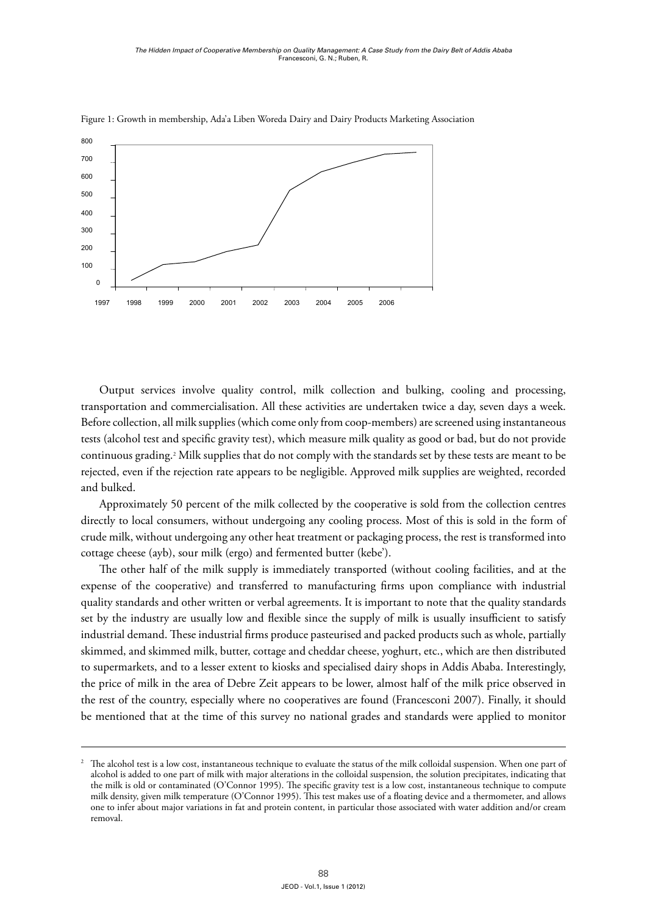

Figure 1: Growth in membership, Ada'a Liben Woreda Dairy and Dairy Products Marketing Association

Output services involve quality control, milk collection and bulking, cooling and processing, transportation and commercialisation. All these activities are undertaken twice a day, seven days a week. 8 Before collection, all milk supplies (which come only from coop-members) are screened using instantaneous 6 tests (alcohol test and specific gravity test), which measure milk quality as good or bad, but do not provide 4 continuous grading.2 Milk supplies that do not comply with the standards set by these tests are meant to be 2 rejected, even if the rejection rate appears to be negligible. Approved milk supplies are weighted, recorded and bulked.

a bunca.<br>Approximately 50 percent of the milk collected by the cooperative is sold from the collection centres directly to local consumers, without undergoing any cooling process. Most of this is sold in the form of crude milk, without undergoing any other heat treatment or packaging process, the rest is transformed into cottage cheese (ayb), sour milk (ergo) and fermented butter (kebe').

The other half of the milk supply is immediately transported (without cooling facilities, and at the expense of the cooperative) and transferred to manufacturing firms upon compliance with industrial quality standards and other written or verbal agreements. It is important to note that the quality standards 40 set by the industry are usually low and flexible since the supply of milk is usually insufficient to satisfy industrial demand. These industrial firms produce pasteurised and packed products such as whole, partially industrial demand. These industrial firms produce pasteurised and packed products such as whole, partially skimmed, and skimmed milk, butter, cottage and cheddar cheese, yoghurt, etc., which are then distributed to supermarkets, and to a lesser extent to kiosks and specialised dairy shops in Addis Ababa. Interestingly, the price of milk in the area of Debre Zeit appears to be lower, almost half of the milk price observed in the rest of the country, especially where no cooperatives are found (Francesconi 2007). Finally, it should be mentioned that at the time of this survey no national grades and standards were applied to monitor

The alcohol test is a low cost, instantaneous technique to evaluate the status of the milk colloidal suspension. When one part of alcohol is added to one part of milk with major alterations in the colloidal suspension, the solution precipitates, indicating that 25 the milk is old or contaminated (O'Connor 1995). The specific gravity test is a low cost, instantaneous technique to compute milk density, given milk temperature (O'Connor 1995). This test makes use of a floating device and a thermometer, and allows one to infer about major variations in fat and protein content, in particular those associated with water addition and/or cream removal.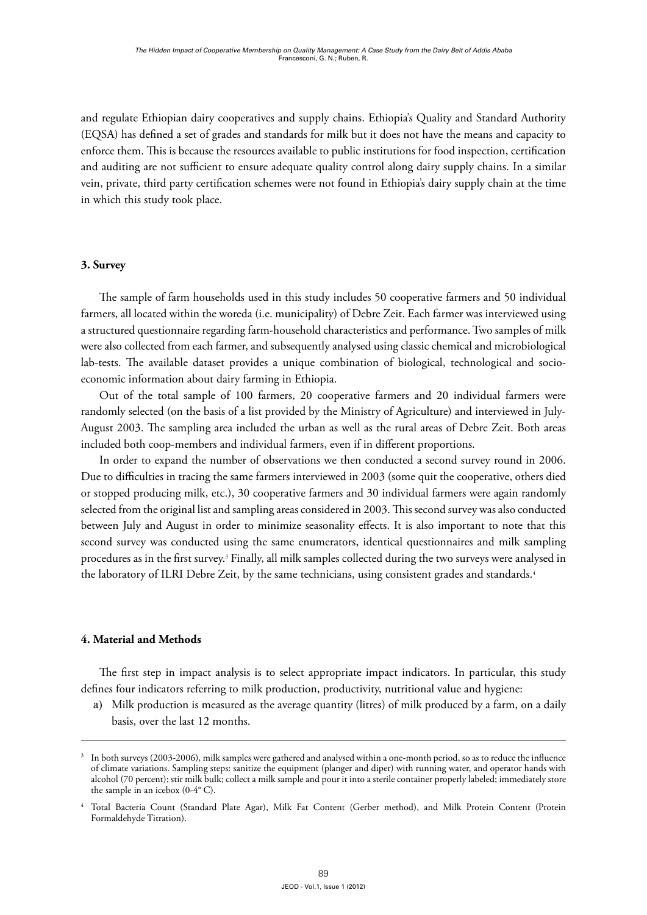and regulate Ethiopian dairy cooperatives and supply chains. Ethiopia's Quality and Standard Authority (EQSA) has defined a set of grades and standards for milk but it does not have the means and capacity to enforce them. This is because the resources available to public institutions for food inspection, certification and auditing are not sufficient to ensure adequate quality control along dairy supply chains. In a similar vein, private, third party certification schemes were not found in Ethiopia's dairy supply chain at the time in which this study took place.

## **3. Survey**

The sample of farm households used in this study includes 50 cooperative farmers and 50 individual farmers, all located within the woreda (i.e. municipality) of Debre Zeit. Each farmer was interviewed using a structured questionnaire regarding farm-household characteristics and performance. Two samples of milk were also collected from each farmer, and subsequently analysed using classic chemical and microbiological lab-tests. The available dataset provides a unique combination of biological, technological and socioeconomic information about dairy farming in Ethiopia.

Out of the total sample of 100 farmers, 20 cooperative farmers and 20 individual farmers were randomly selected (on the basis of a list provided by the Ministry of Agriculture) and interviewed in July-August 2003. The sampling area included the urban as well as the rural areas of Debre Zeit. Both areas included both coop-members and individual farmers, even if in different proportions.

In order to expand the number of observations we then conducted a second survey round in 2006. Due to difficulties in tracing the same farmers interviewed in 2003 (some quit the cooperative, others died or stopped producing milk, etc.), 30 cooperative farmers and 30 individual farmers were again randomly selected from the original list and sampling areas considered in 2003. This second survey was also conducted between July and August in order to minimize seasonality effects. It is also important to note that this second survey was conducted using the same enumerators, identical questionnaires and milk sampling procedures as in the first survey.<sup>3</sup> Finally, all milk samples collected during the two surveys were analysed in the laboratory of ILRI Debre Zeit, by the same technicians, using consistent grades and standards.<sup>4</sup>

### **4. Material and Methods**

The first step in impact analysis is to select appropriate impact indicators. In particular, this study defines four indicators referring to milk production, productivity, nutritional value and hygiene:

a) Milk production is measured as the average quantity (litres) of milk produced by a farm, on a daily basis, over the last 12 months.

In both surveys (2003-2006), milk samples were gathered and analysed within a one-month period, so as to reduce the influence of climate variations. Sampling steps: sanitize the equipment (planger and diper) with running water, and operator hands with alcohol (70 percent); stir milk bulk; collect a milk sample and pour it into a sterile container properly labeled; immediately store the sample in an icebox (0-4° C).

<sup>4</sup> Total Bacteria Count (Standard Plate Agar), Milk Fat Content (Gerber method), and Milk Protein Content (Protein Formaldehyde Titration).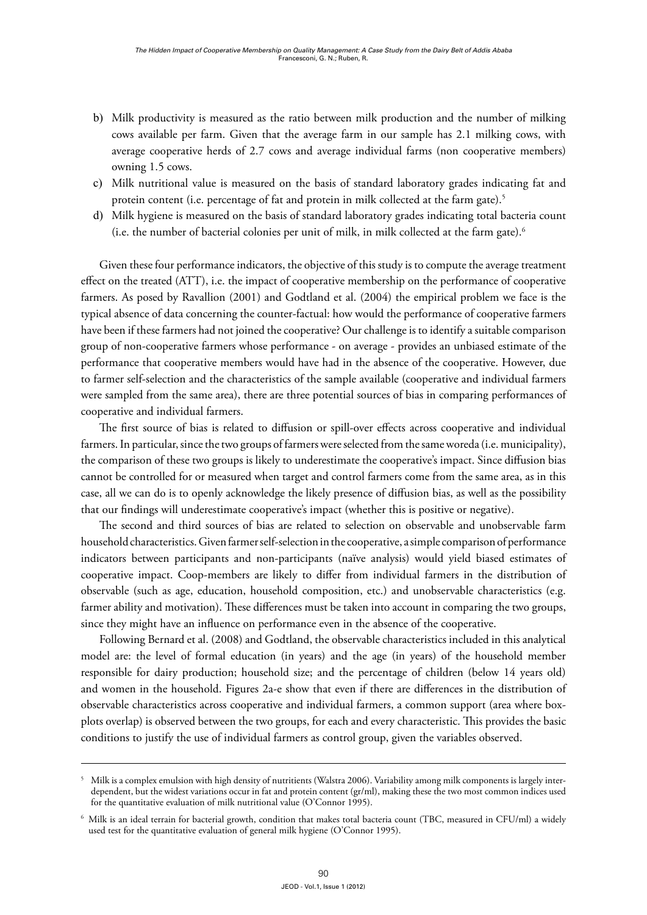- b) Milk productivity is measured as the ratio between milk production and the number of milking cows available per farm. Given that the average farm in our sample has 2.1 milking cows, with average cooperative herds of 2.7 cows and average individual farms (non cooperative members) owning 1.5 cows.
- c) Milk nutritional value is measured on the basis of standard laboratory grades indicating fat and protein content (i.e. percentage of fat and protein in milk collected at the farm gate).<sup>5</sup>
- d) Milk hygiene is measured on the basis of standard laboratory grades indicating total bacteria count (i.e. the number of bacterial colonies per unit of milk, in milk collected at the farm gate).6

Given these four performance indicators, the objective of this study is to compute the average treatment effect on the treated (ATT), i.e. the impact of cooperative membership on the performance of cooperative farmers. As posed by Ravallion (2001) and Godtland et al. (2004) the empirical problem we face is the typical absence of data concerning the counter-factual: how would the performance of cooperative farmers have been if these farmers had not joined the cooperative? Our challenge is to identify a suitable comparison group of non-cooperative farmers whose performance - on average - provides an unbiased estimate of the performance that cooperative members would have had in the absence of the cooperative. However, due to farmer self-selection and the characteristics of the sample available (cooperative and individual farmers were sampled from the same area), there are three potential sources of bias in comparing performances of cooperative and individual farmers.

The first source of bias is related to diffusion or spill-over effects across cooperative and individual farmers. In particular, since the two groups of farmers were selected from the same woreda (i.e. municipality), the comparison of these two groups is likely to underestimate the cooperative's impact. Since diffusion bias cannot be controlled for or measured when target and control farmers come from the same area, as in this case, all we can do is to openly acknowledge the likely presence of diffusion bias, as well as the possibility that our findings will underestimate cooperative's impact (whether this is positive or negative).

The second and third sources of bias are related to selection on observable and unobservable farm household characteristics. Given farmer self-selection in the cooperative, a simple comparison of performance indicators between participants and non-participants (naïve analysis) would yield biased estimates of cooperative impact. Coop-members are likely to differ from individual farmers in the distribution of observable (such as age, education, household composition, etc.) and unobservable characteristics (e.g. farmer ability and motivation). These differences must be taken into account in comparing the two groups, since they might have an influence on performance even in the absence of the cooperative.

Following Bernard et al. (2008) and Godtland, the observable characteristics included in this analytical model are: the level of formal education (in years) and the age (in years) of the household member responsible for dairy production; household size; and the percentage of children (below 14 years old) and women in the household. Figures 2a-e show that even if there are differences in the distribution of observable characteristics across cooperative and individual farmers, a common support (area where boxplots overlap) is observed between the two groups, for each and every characteristic. This provides the basic conditions to justify the use of individual farmers as control group, given the variables observed.

<sup>5</sup> Milk is a complex emulsion with high density of nutritients (Walstra 2006). Variability among milk components is largely interdependent, but the widest variations occur in fat and protein content (gr/ml), making these the two most common indices used for the quantitative evaluation of milk nutritional value (O'Connor 1995).

<sup>6</sup> Milk is an ideal terrain for bacterial growth, condition that makes total bacteria count (TBC, measured in CFU/ml) a widely used test for the quantitative evaluation of general milk hygiene (O'Connor 1995).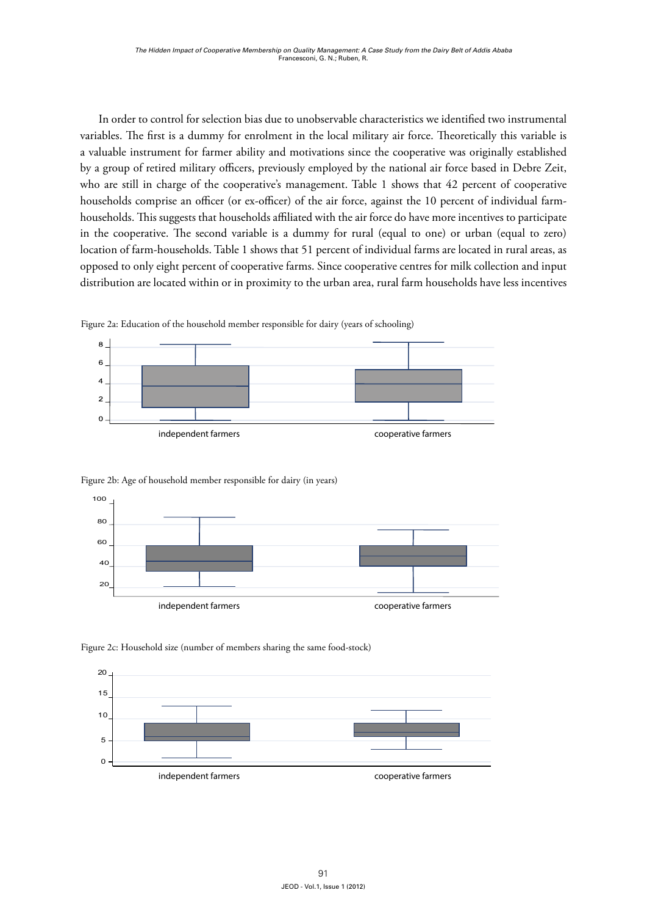In order to control for selection bias due to unobservable characteristics we identified two instrumental variables. The first is a dummy for enrolment in the local military air force. Theoretically this variable is 0 a valuable instrument for farmer ability and motivations since the cooperative was originally established by a group of retired military officers, previously employed by the national air force based in Debre Zeit, who are still in charge of the cooperative's management. Table 1 shows that 42 percent of cooperative households comprise an officer (or ex-officer) of the air force, against the 10 percent of individual farmhouseholds. This suggests that households affiliated with the air force do have more incentives to participate in the cooperative. The second variable is a dummy for rural (equal to one) or urban (equal to zero) location of farm-households. Table 1 shows that 51 percent of individual farms are located in rural areas, as opposed to only eight percent of cooperative farms. Since cooperative centres for milk collection and input distribution are located within or in proximity to the urban area, rural farm households have less incentives



6 Figure 2a: Education of the household member responsible for dairy (years of schooling)





Figure 2c: Household size (number of members sharing the same food-stock)

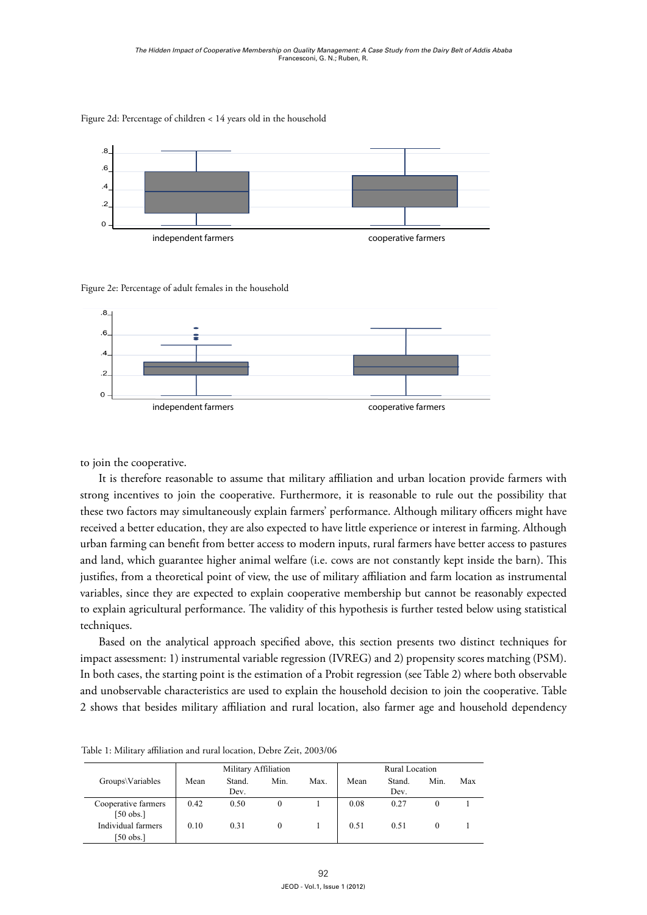

Figure 2d: Percentage of children < 14 years old in the household

#### Figure 2e: Percentage of adult females in the household



to join the cooperative. **Figure 2d: Percentage of children < 14 years old in the household**

rom a theoretical point of view, the use of military affiliation and farm variables, since they are expected to explain cooperative membership but cannot be reasonably expected to explain agricultural performance. The validity of this hypothesis is further tested below using statistical miques. and land, which guarantee higher animal welfare (i.e. cows are not constantly kept inside the barn). This  $M = \frac{1}{\sqrt{2}}$  and  $M = \frac{1}{\sqrt{2}}$  and  $M = \frac{1}{\sqrt{2}}$ justifies, from a theoretical point of view, the use of military affiliation and farm location as instrumental  $\overline{0}$ techniques. 0.100.31010.510.5101Figure 2d: Percentage of children < 14 years old in the household It is therefore reasonable to assume that military affiliation and urban location provide farmers with strong incentives to join the cooperative. Furthermore, it is reasonable to rule out the possibility that these two factors may simultaneously explain farmers' performance. Although military officers might have received a better education, they are also expected to have little experience or interest in farming. Although urban farming can benefit from better access to modern inputs, rural farmers have better access to pastures

<sup>1</sup><br>Based on the analytical approach specified above, this section presents two distinct techniques for impact assessment: 1) instrumental variable regression (IVREG) and 2) propensity scores matching (PSM). [50 obs.] In both cases, the starting point is the estimation of a Probit regression (see Table 2) where both observable and unobservable characteristics are used to explain the household decision to join the cooperative. Table 2 shows that besides military affiliation and rural location, also farmer age and household dependency

|                                    | Military Affiliation |                |      |      | Rural Location |                |      |     |
|------------------------------------|----------------------|----------------|------|------|----------------|----------------|------|-----|
| Groups\Variables                   | Mean                 | Stand.<br>Dev. | Min. | Max. | Mean           | Stand.<br>Dev. | Min. | Max |
| Cooperative farmers<br>$[50$ obs.] | 0.42                 | 0.50           | 0    |      | 0.08           | 0.27           |      |     |
| Individual farmers<br>[50 obs.]    | 0.10                 | 0.31           |      |      | 0.51           | 0.51           |      |     |

**Table 1: Military affiliation and rural location, Debre Zeit, 2003/06** Table 1: Military affiliation and rural location, Debre Zeit, 2003/06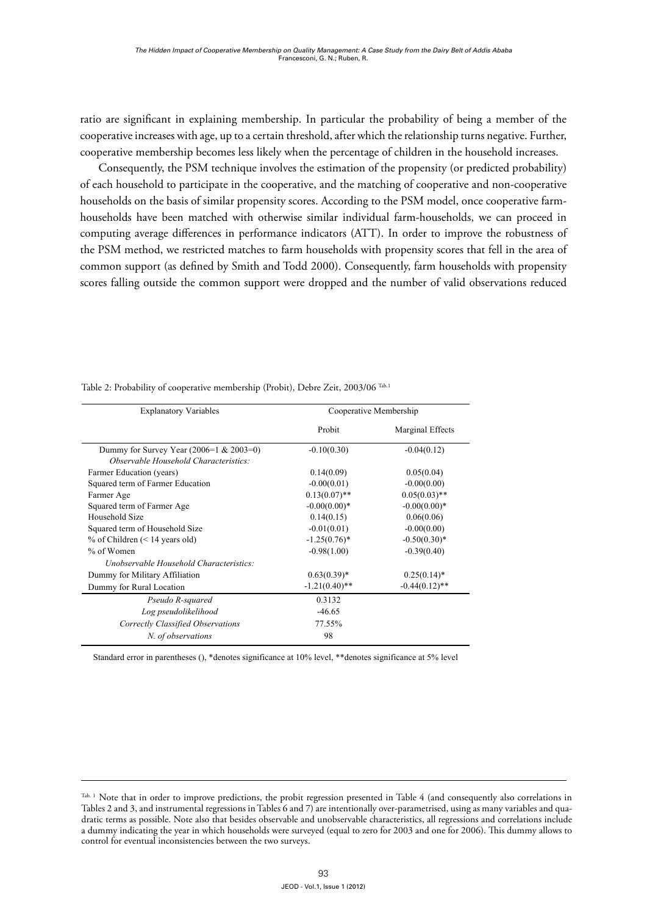ratio are significant in explaining membership. In particular the probability of being a member of the cooperative increases with age, up to a certain threshold, after which the relationship turns negative. Further, cooperative membership becomes less likely when the percentage of children in the household increases.

Consequently, the PSM technique involves the estimation of the propensity (or predicted probability) of each household to participate in the cooperative, and the matching of cooperative and non-cooperative households on the basis of similar propensity scores. According to the PSM model, once cooperative farmhouseholds have been matched with otherwise similar individual farm-households, we can proceed in computing average differences in performance indicators (ATT). In order to improve the robustness of the PSM method, we restricted matches to farm households with propensity scores that fell in the area of common support (as defined by Smith and Todd 2000). Consequently, farm households with propensity scores falling outside the common support were dropped and the number of valid observations reduced

| <b>Explanatory Variables</b>               | Cooperative Membership |                  |  |  |
|--------------------------------------------|------------------------|------------------|--|--|
|                                            | Probit                 | Marginal Effects |  |  |
| Dummy for Survey Year $(2006=1 \& 2003=0)$ | $-0.10(0.30)$          | $-0.04(0.12)$    |  |  |
| Observable Household Characteristics:      |                        |                  |  |  |
| Farmer Education (years)                   | 0.14(0.09)             | 0.05(0.04)       |  |  |
| Squared term of Farmer Education           | $-0.00(0.01)$          | $-0.00(0.00)$    |  |  |
| Farmer Age                                 | $0.13(0.07)$ **        | $0.05(0.03)$ **  |  |  |
| Squared term of Farmer Age                 | $-0.00(0.00)*$         | $-0.00(0.00)*$   |  |  |
| Household Size                             | 0.14(0.15)             | 0.06(0.06)       |  |  |
| Squared term of Household Size             | $-0.01(0.01)$          | $-0.00(0.00)$    |  |  |
| % of Children $(< 14$ years old)           | $-1.25(0.76)^*$        | $-0.50(0.30)*$   |  |  |
| $%$ of Women                               | $-0.98(1.00)$          | $-0.39(0.40)$    |  |  |
| Unobservable Household Characteristics:    |                        |                  |  |  |
| Dummy for Military Affiliation             | $0.63(0.39)^*$         | $0.25(0.14)^*$   |  |  |
| Dummy for Rural Location                   | $-1.21(0.40)$ **       | $-0.44(0.12)$ ** |  |  |
| Pseudo R-squared                           | 0.3132                 |                  |  |  |
| Log pseudolikelihood                       | $-46.65$               |                  |  |  |
| Correctly Classified Observations          | 77.55%                 |                  |  |  |
| N. of observations                         | 98                     |                  |  |  |

Table 2: Probability of cooperative membership (Probit), Debre Zeit, 2003/06 <sup>Tab.1</sup>

Standard error in parentheses (), \*denotes significance at 10% level, \*\*denotes significance at 5% level

Tables 2 and 3, and instrumental regressions in Tables 6 and 7) are intentionally over-parametrised, using as many variables and quadratic terms as possible. Note also that besides observable and unobservable characteristics, all regressions and correlations include 0.045 15 1 16 control for eventual inconsistencies between the two surveys. 0.2 7 September 2007 12:3 7 September 2007 12:3 7 September 2007 12:3 7 September 2007 12:3 7 September 2007 1 Tab. 1 Note that in order to improve predictions, the probit regression presented in Table 4 (and consequently also correlations in a dummy indicating the year in which households were surveyed (equal to zero for 2003 and one for 2006). This dummy allows to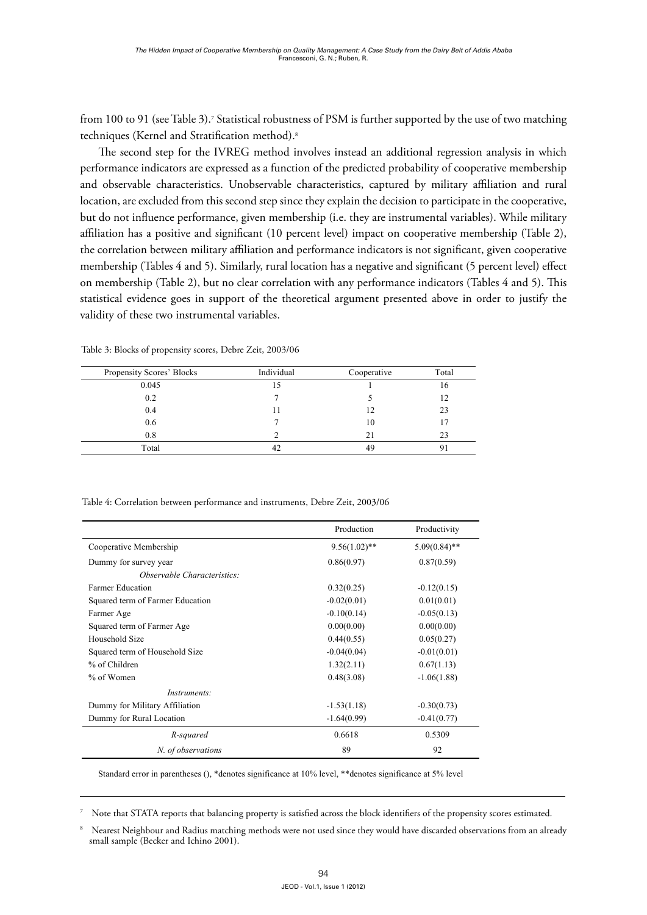from 100 to 91 (see Table 3).<sup>7</sup> Statistical robustness of PSM is further supported by the use of two matching techniques (Kernel and Stratification method).8  $\frac{1}{1000}$  to  $\frac{1}{1000}$  and  $\frac{1}{200}$ . Statistical followiness of 1 Styl is further supported

The second step for the IVREG method involves instead an additional regression analysis in which performance indicators are expressed as a function of the predicted probability of cooperative membership and observable characteristics. Unobservable characteristics, captured by military affiliation and rural location, are excluded from this second step since they explain the decision to participate in the cooperative,<br> but do not influence performance, given membership (i.e. they are instrumental variables). While military affiliation has a positive and significant (10 percent level) impact on cooperative membership (Table 2), the correlation between military affiliation and performance indicators is not significant, given cooperative membership (Tables 4 and 5). Similarly, rural location has a negative and significant (5 percent level) effect on membership (Table 2), but no clear correlation with any performance indicators (Tables 4 and 5). This statistical evidence goes in support of the theoretical argument presented above in order to justify the validity of these two instrumental variables. ance muicators are expressed as a runction of the

| Propensity Scores' Blocks | Individual | Cooperative | Total |
|---------------------------|------------|-------------|-------|
| 0.045                     | 15         |             | 16    |
| 0.2                       |            |             | 12    |
| 0.4                       |            | 12          | 23    |
| 0.6                       |            | 10          |       |
| 0.8                       |            | 21          | 23    |
| Total                     |            | 49          |       |

**Table 3: Blocks of propensity scores, Debre Zeit, 2003/06** Table 3: Blocks of propensity scores, Debre Zeit, 2003/06

**Table 4: Correlation between performance and instruments, Debre Zeit, 2003/06** Table 4: Correlation between performance and instruments, Debre Zeit, 2003/06

|                                  | Production      | Productivity    |
|----------------------------------|-----------------|-----------------|
| Cooperative Membership           | $9.56(1.02)$ ** | $5.09(0.84)$ ** |
| Dummy for survey year            | 0.86(0.97)      | 0.87(0.59)      |
| Observable Characteristics:      |                 |                 |
| <b>Farmer Education</b>          | 0.32(0.25)      | $-0.12(0.15)$   |
| Squared term of Farmer Education | $-0.02(0.01)$   | 0.01(0.01)      |
| Farmer Age                       | $-0.10(0.14)$   | $-0.05(0.13)$   |
| Squared term of Farmer Age       | 0.00(0.00)      | 0.00(0.00)      |
| Household Size                   | 0.44(0.55)      | 0.05(0.27)      |
| Squared term of Household Size   | $-0.04(0.04)$   | $-0.01(0.01)$   |
| % of Children                    | 1.32(2.11)      | 0.67(1.13)      |
| % of Women                       | 0.48(3.08)      | $-1.06(1.88)$   |
| Instruments:                     |                 |                 |
| Dummy for Military Affiliation   | $-1.53(1.18)$   | $-0.30(0.73)$   |
| Dummy for Rural Location         | $-1.64(0.99)$   | $-0.41(0.77)$   |
| R-squared                        | 0.6618          | 0.5309          |
| N. of observations               | 89              | 92              |

Standard error in parentheses (), \*denotes significance at 10% level, \*\*denotes significance at 5% level

<sup>7</sup> Note that STATA reports that balancing property is satisfied across the block identifiers of the propensity scores estimated.

Nearest Neighbour and Radius matching methods were not used since they would have discarded observations from an already small sample (Becker and Ichino 2001).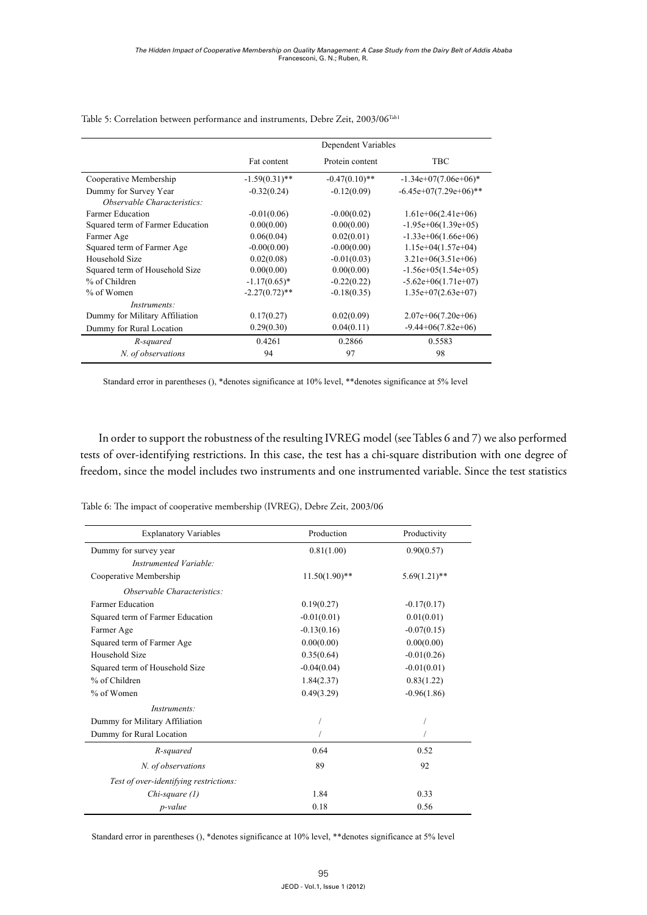|                                                                    | Dependent Variables |                  |                          |  |  |
|--------------------------------------------------------------------|---------------------|------------------|--------------------------|--|--|
|                                                                    | Fat content         | Protein content  | TBC                      |  |  |
| Cooperative Membership                                             | $-1.59(0.31)$ **    | $-0.47(0.10)$ ** | $-1.34e+07(7.06e+06)*$   |  |  |
| Dummy for Survey Year<br><i><b>Observable Characteristics:</b></i> | $-0.32(0.24)$       | $-0.12(0.09)$    | $-6.45e+07(7.29e+06)$ ** |  |  |
| <b>Farmer Education</b>                                            | $-0.01(0.06)$       | $-0.00(0.02)$    | $1.61e+06(2.41e+06)$     |  |  |
| Squared term of Farmer Education                                   | 0.00(0.00)          | 0.00(0.00)       | $-1.95e+06(1.39e+05)$    |  |  |
| Farmer Age                                                         | 0.06(0.04)          | 0.02(0.01)       | $-1.33e+06(1.66e+06)$    |  |  |
| Squared term of Farmer Age                                         | $-0.00(0.00)$       | $-0.00(0.00)$    | $1.15e+04(1.57e+04)$     |  |  |
| Household Size                                                     | 0.02(0.08)          | $-0.01(0.03)$    | $3.21e+06(3.51e+06)$     |  |  |
| Squared term of Household Size                                     | 0.00(0.00)          | 0.00(0.00)       | $-1.56e+05(1.54e+05)$    |  |  |
| % of Children                                                      | $-1.17(0.65)^*$     | $-0.22(0.22)$    | $-5.62e+06(1.71e+07)$    |  |  |
| % of Women                                                         | $-2.27(0.72)$ **    | $-0.18(0.35)$    | $1.35e+07(2.63e+07)$     |  |  |
| Instruments:                                                       |                     |                  |                          |  |  |
| Dummy for Military Affiliation                                     | 0.17(0.27)          | 0.02(0.09)       | $2.07e+06(7.20e+06)$     |  |  |
| Dummy for Rural Location                                           | 0.29(0.30)          | 0.04(0.11)       | $-9.44+06(7.82e+06)$     |  |  |
| R-squared                                                          | 0.4261              | 0.2866           | 0.5583                   |  |  |
| N. of observations                                                 | 94                  | 97               | 98                       |  |  |

**Table 5: Correlation between performance and instruments, Debre Zeit, 2003/06<sup>11</sup>** Table 5: Correlation between performance and instruments, Debre Zeit, 2003/06Tab1

Standard error in parentheses (), \*denotes significance at 10% level, \*\*denotes significance at 5% level

In order to support the robustness of the resulting IVREG model (see Tables 6 and 7) we also performed tests of over-identifying restrictions. In this case, the test has a chi-square distribution with one degree of freedom, since the model includes two instruments and one instrumented variable. Since the test statistics

| Table 6: The impact of cooperative membership (IVREG), Debre Zeit, 2003/06 |  |  |  |  |
|----------------------------------------------------------------------------|--|--|--|--|
|                                                                            |  |  |  |  |

| <b>Explanatory Variables</b>           | Production       | Productivity    |  |
|----------------------------------------|------------------|-----------------|--|
| Dummy for survey year                  | 0.81(1.00)       | 0.90(0.57)      |  |
| Instrumented Variable:                 |                  |                 |  |
| Cooperative Membership                 | $11.50(1.90)$ ** | $5.69(1.21)$ ** |  |
| Observable Characteristics:            |                  |                 |  |
| <b>Farmer Education</b>                | 0.19(0.27)       | $-0.17(0.17)$   |  |
| Squared term of Farmer Education       | $-0.01(0.01)$    | 0.01(0.01)      |  |
| Farmer Age                             | $-0.13(0.16)$    | $-0.07(0.15)$   |  |
| Squared term of Farmer Age             | 0.00(0.00)       | 0.00(0.00)      |  |
| Household Size                         | 0.35(0.64)       | $-0.01(0.26)$   |  |
| Squared term of Household Size         | $-0.04(0.04)$    | $-0.01(0.01)$   |  |
| % of Children                          | 1.84(2.37)       | 0.83(1.22)      |  |
| % of Women                             | 0.49(3.29)       | $-0.96(1.86)$   |  |
| <i>Instruments:</i>                    |                  |                 |  |
| Dummy for Military Affiliation         |                  |                 |  |
| Dummy for Rural Location               |                  |                 |  |
| R-squared                              | 0.64             | 0.52            |  |
| N. of observations                     | 89               | 92              |  |
| Test of over-identifying restrictions: |                  |                 |  |
| $Chi-square (1)$                       | 1.84             | 0.33            |  |
| p-value                                | 0.18             | 0.56            |  |

Standard error in parentheses (), \*denotes significance at 10% level, \*\*denotes significance at 5% level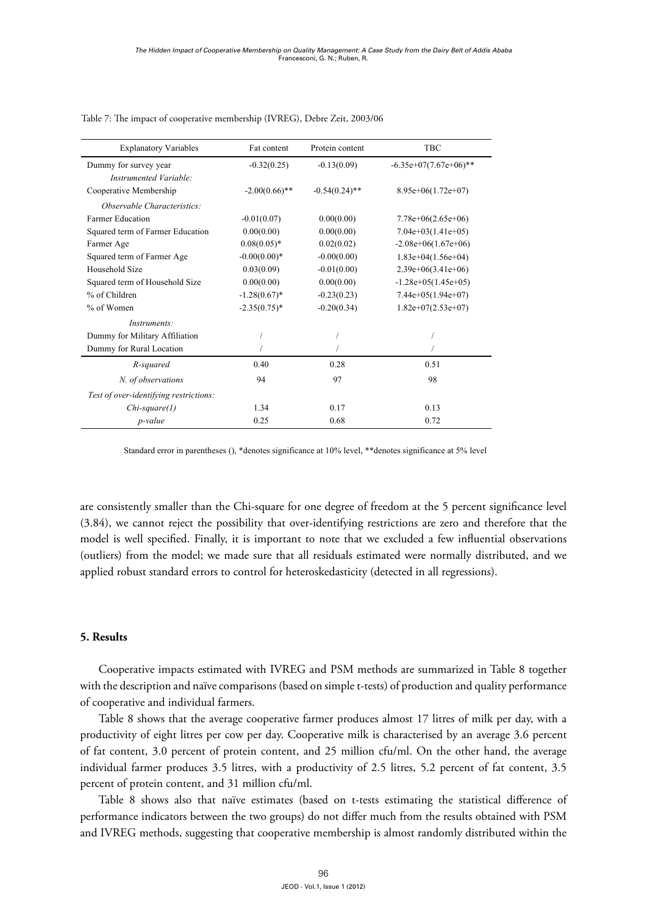| <b>Explanatory Variables</b>           | Fat content      | Protein content  | <b>TBC</b>               |  |
|----------------------------------------|------------------|------------------|--------------------------|--|
| Dummy for survey year                  | $-0.32(0.25)$    | $-0.13(0.09)$    | $-6.35e+07(7.67e+06)$ ** |  |
| Instrumented Variable:                 |                  |                  |                          |  |
| Cooperative Membership                 | $-2.00(0.66)$ ** | $-0.54(0.24)$ ** | $8.95e+06(1.72e+07)$     |  |
| Observable Characteristics:            |                  |                  |                          |  |
| <b>Farmer Education</b>                | $-0.01(0.07)$    | 0.00(0.00)       | $7.78e+06(2.65e+06)$     |  |
| Squared term of Farmer Education       | 0.00(0.00)       | 0.00(0.00)       | $7.04e+03(1.41e+05)$     |  |
| Farmer Age                             | $0.08(0.05)*$    | 0.02(0.02)       | $-2.08e+06(1.67e+06)$    |  |
| Squared term of Farmer Age             | $-0.00(0.00)*$   | $-0.00(0.00)$    | $1.83e+04(1.56e+04)$     |  |
| Household Size                         | 0.03(0.09)       | $-0.01(0.00)$    | $2.39e+06(3.41e+06)$     |  |
| Squared term of Household Size         | 0.00(0.00)       | 0.00(0.00)       | $-1.28e+05(1.45e+05)$    |  |
| % of Children                          | $-1.28(0.67)^*$  | $-0.23(0.23)$    | $7.44e+05(1.94e+07)$     |  |
| $%$ of Women                           | $-2.35(0.75)^*$  | $-0.20(0.34)$    | $1.82e+07(2.53e+07)$     |  |
| <i>Instruments:</i>                    |                  |                  |                          |  |
| Dummy for Military Affiliation         |                  |                  |                          |  |
| Dummy for Rural Location               |                  |                  |                          |  |
| R-squared                              | 0.40             | 0.28             | 0.51                     |  |
| N. of observations                     | 94               | 97               | 98                       |  |
| Test of over-identifying restrictions: |                  |                  |                          |  |
| $Chi-square(1)$                        | 1.34             | 0.17             | 0.13                     |  |
| p-value                                | 0.25             | 0.68             | 0.72                     |  |

**Table 7: The impact of cooperative membership (IVREG), Debre Zeit, 2003/06** Table 7: The impact of cooperative membership (IVREG), Debre Zeit, 2003/06

Standard error in parentheses (), \*denotes significance at 10% level, \*\*denotes significance at 5% level

(3.84), we cannot reject the possibility that over-identifying restrictions are zero and therefore that the are consistently smaller than the Chi-square for one degree of freedom at the 5 percent significance level model is well specified. Finally, it is important to note that we excluded a few influential observations (outliers) from the model; we made sure that all residuals estimated were normally distributed, and we applied robust standard errors to control for heteroskedasticity (detected in all regressions).

## **5. Results**

Cooperative impacts estimated with IVREG and PSM methods are summarized in Table 8 together with the description and naïve comparisons (based on simple t-tests) of production and quality performance of cooperative and individual farmers.

Table 8 shows that the average cooperative farmer produces almost 17 litres of milk per day, with a productivity of eight litres per cow per day. Cooperative milk is characterised by an average 3.6 percent of fat content, 3.0 percent of protein content, and 25 million cfu/ml. On the other hand, the average individual farmer produces 3.5 litres, with a productivity of 2.5 litres, 5.2 percent of fat content, 3.5 percent of protein content, and 31 million cfu/ml.

Table 8 shows also that naïve estimates (based on t-tests estimating the statistical difference of performance indicators between the two groups) do not differ much from the results obtained with PSM and IVREG methods, suggesting that cooperative membership is almost randomly distributed within the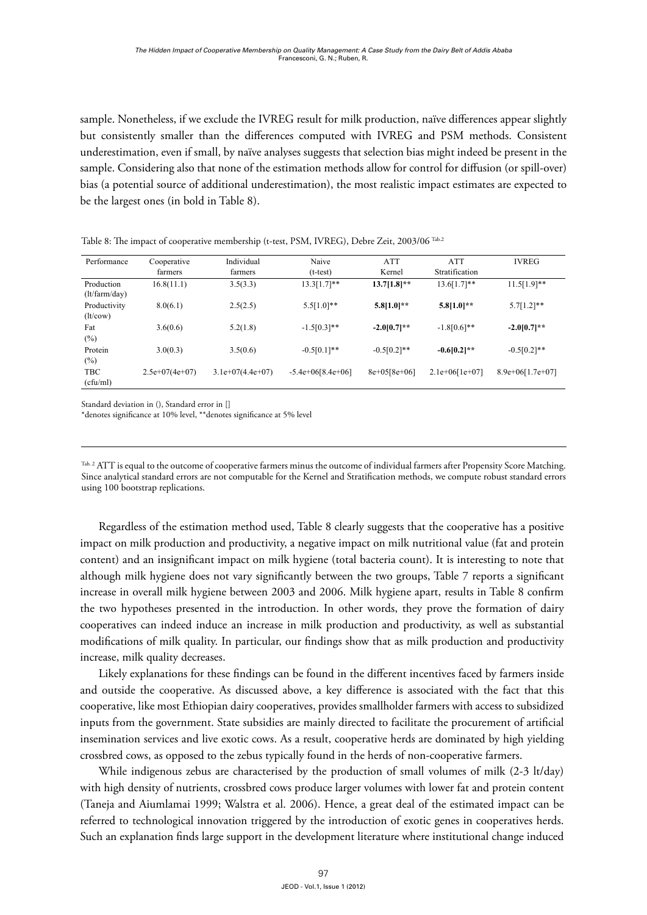sample. Nonetheless, if we exclude the IVREG result for milk production, naïve differences appear slightly but consistently smaller than the differences computed with IVREG and PSM methods. Consistent underestimation, even if small, by naïve analyses suggests that selection bias might indeed be present in the sample. Considering also that none of the estimation methods allow for control for diffusion (or spill-over) bias (a potential source of additional underestimation), the most realistic impact estimates are expected to be the largest ones (in bold in Table 8).

| Performance                 | Cooperative      | Individual         | Naive               | <b>ATT</b>     | <b>ATT</b>       | <b>IVREG</b>       |
|-----------------------------|------------------|--------------------|---------------------|----------------|------------------|--------------------|
|                             | farmers          | farmers            | $(t-test)$          | Kernel         | Stratification   |                    |
| Production<br>(lt/farm/day) | 16.8(11.1)       | 3.5(3.3)           | $13.3[1.7]**$       | $13.7[1.8]**$  | $13.6[1.7]**$    | $11.5[1.9]**$      |
| Productivity<br>(lt/cow)    | 8.0(6.1)         | 2.5(2.5)           | $5.5[1.0]**$        | $5.8[1.0]**$   | $5.8[1.0]**$     | $5.7[1.2]**$       |
| Fat<br>$(\%)$               | 3.6(0.6)         | 5.2(1.8)           | $-1.5[0.3]**$       | $-2.0[0.7]**$  | $-1.8[0.6]$ **   | $-2.0[0.7]**$      |
| Protein<br>$(\%)$           | 3.0(0.3)         | 3.5(0.6)           | $-0.5[0.1]**$       | $-0.5[0.2]**$  | $-0.6[0.2]**$    | $-0.5[0.2]**$      |
| <b>TBC</b><br>(cfu/ml)      | $2.5e+07(4e+07)$ | $3.1e+07(4.4e+07)$ | $-5.4e+06[8.4e+06]$ | $8e+05[8e+06]$ | $2.1e+06[1e+07]$ | $8.9e+06[1.7e+07]$ |

**Table 8: The impact of cooperative membership (t-test, PSM, IVREG), Debre Zeit, 2003/06<sup>12</sup>** Table 8: The impact of cooperative membership (t-test, PSM, IVREG), Debre Zeit, 2003/06 Tab.2

Standard deviation in (), Standard error in []

\*denotes significance at 10% level, \*\*denotes significance at 5% level

Since analytical standard errors are not computable for the Kernel and Stratification methods, we compute robust standard errors using 100 bootstrap replications. Tab. 2 ATT is equal to the outcome of cooperative farmers minus the outcome of individual farmers after Propensity Score Matching. using 100 bootstrap replications.

Regardless of the estimation method used, Table 8 clearly suggests that the cooperative has a positive impact on milk production and productivity, a negative impact on milk nutritional value (fat and protein content) and an insignificant impact on milk hygiene (total bacteria count). It is interesting to note that although milk hygiene does not vary significantly between the two groups, Table 7 reports a significant increase in overall milk hygiene between 2003 and 2006. Milk hygiene apart, results in Table 8 confirm the two hypotheses presented in the introduction. In other words, they prove the formation of dairy cooperatives can indeed induce an increase in milk production and productivity, as well as substantial modifications of milk quality. In particular, our findings show that as milk production and productivity increase, milk quality decreases.

Likely explanations for these findings can be found in the different incentives faced by farmers inside and outside the cooperative. As discussed above, a key difference is associated with the fact that this cooperative, like most Ethiopian dairy cooperatives, provides smallholder farmers with access to subsidized inputs from the government. State subsidies are mainly directed to facilitate the procurement of artificial insemination services and live exotic cows. As a result, cooperative herds are dominated by high yielding crossbred cows, as opposed to the zebus typically found in the herds of non-cooperative farmers.

While indigenous zebus are characterised by the production of small volumes of milk (2-3 lt/day) with high density of nutrients, crossbred cows produce larger volumes with lower fat and protein content (Taneja and Aiumlamai 1999; Walstra et al. 2006). Hence, a great deal of the estimated impact can be referred to technological innovation triggered by the introduction of exotic genes in cooperatives herds. Such an explanation finds large support in the development literature where institutional change induced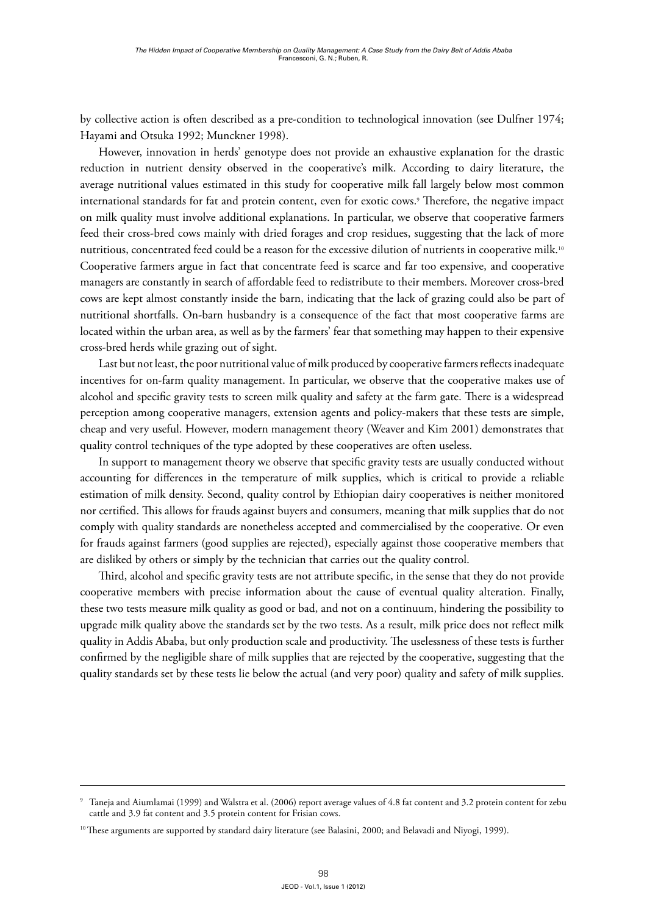by collective action is often described as a pre-condition to technological innovation (see Dulfner 1974; Hayami and Otsuka 1992; Munckner 1998).

However, innovation in herds' genotype does not provide an exhaustive explanation for the drastic reduction in nutrient density observed in the cooperative's milk. According to dairy literature, the average nutritional values estimated in this study for cooperative milk fall largely below most common international standards for fat and protein content, even for exotic cows.9 Therefore, the negative impact on milk quality must involve additional explanations. In particular, we observe that cooperative farmers feed their cross-bred cows mainly with dried forages and crop residues, suggesting that the lack of more nutritious, concentrated feed could be a reason for the excessive dilution of nutrients in cooperative milk.<sup>10</sup> Cooperative farmers argue in fact that concentrate feed is scarce and far too expensive, and cooperative managers are constantly in search of affordable feed to redistribute to their members. Moreover cross-bred cows are kept almost constantly inside the barn, indicating that the lack of grazing could also be part of nutritional shortfalls. On-barn husbandry is a consequence of the fact that most cooperative farms are located within the urban area, as well as by the farmers' fear that something may happen to their expensive cross-bred herds while grazing out of sight.

Last but not least, the poor nutritional value of milk produced by cooperative farmers reflects inadequate incentives for on-farm quality management. In particular, we observe that the cooperative makes use of alcohol and specific gravity tests to screen milk quality and safety at the farm gate. There is a widespread perception among cooperative managers, extension agents and policy-makers that these tests are simple, cheap and very useful. However, modern management theory (Weaver and Kim 2001) demonstrates that quality control techniques of the type adopted by these cooperatives are often useless.

In support to management theory we observe that specific gravity tests are usually conducted without accounting for differences in the temperature of milk supplies, which is critical to provide a reliable estimation of milk density. Second, quality control by Ethiopian dairy cooperatives is neither monitored nor certified. This allows for frauds against buyers and consumers, meaning that milk supplies that do not comply with quality standards are nonetheless accepted and commercialised by the cooperative. Or even for frauds against farmers (good supplies are rejected), especially against those cooperative members that are disliked by others or simply by the technician that carries out the quality control.

Third, alcohol and specific gravity tests are not attribute specific, in the sense that they do not provide cooperative members with precise information about the cause of eventual quality alteration. Finally, these two tests measure milk quality as good or bad, and not on a continuum, hindering the possibility to upgrade milk quality above the standards set by the two tests. As a result, milk price does not reflect milk quality in Addis Ababa, but only production scale and productivity. The uselessness of these tests is further confirmed by the negligible share of milk supplies that are rejected by the cooperative, suggesting that the quality standards set by these tests lie below the actual (and very poor) quality and safety of milk supplies.

<sup>9</sup> Taneja and Aiumlamai (1999) and Walstra et al. (2006) report average values of 4.8 fat content and 3.2 protein content for zebu cattle and 3.9 fat content and 3.5 protein content for Frisian cows.

<sup>&</sup>lt;sup>10</sup> These arguments are supported by standard dairy literature (see Balasini, 2000; and Belavadi and Niyogi, 1999).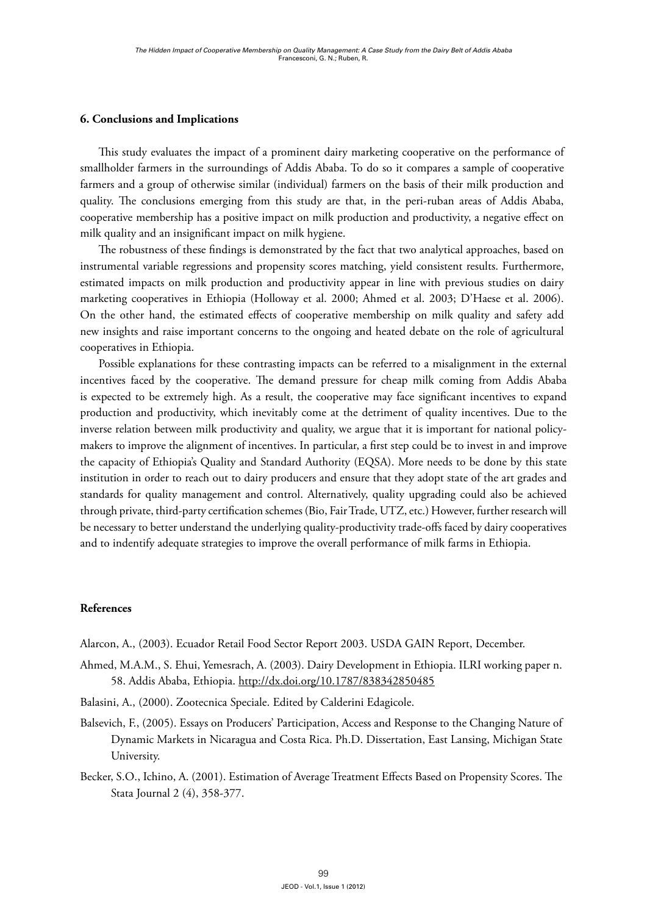# **6. Conclusions and Implications**

This study evaluates the impact of a prominent dairy marketing cooperative on the performance of smallholder farmers in the surroundings of Addis Ababa. To do so it compares a sample of cooperative farmers and a group of otherwise similar (individual) farmers on the basis of their milk production and quality. The conclusions emerging from this study are that, in the peri-ruban areas of Addis Ababa, cooperative membership has a positive impact on milk production and productivity, a negative effect on milk quality and an insignificant impact on milk hygiene.

The robustness of these findings is demonstrated by the fact that two analytical approaches, based on instrumental variable regressions and propensity scores matching, yield consistent results. Furthermore, estimated impacts on milk production and productivity appear in line with previous studies on dairy marketing cooperatives in Ethiopia (Holloway et al. 2000; Ahmed et al. 2003; D'Haese et al. 2006). On the other hand, the estimated effects of cooperative membership on milk quality and safety add new insights and raise important concerns to the ongoing and heated debate on the role of agricultural cooperatives in Ethiopia.

Possible explanations for these contrasting impacts can be referred to a misalignment in the external incentives faced by the cooperative. The demand pressure for cheap milk coming from Addis Ababa is expected to be extremely high. As a result, the cooperative may face significant incentives to expand production and productivity, which inevitably come at the detriment of quality incentives. Due to the inverse relation between milk productivity and quality, we argue that it is important for national policymakers to improve the alignment of incentives. In particular, a first step could be to invest in and improve the capacity of Ethiopia's Quality and Standard Authority (EQSA). More needs to be done by this state institution in order to reach out to dairy producers and ensure that they adopt state of the art grades and standards for quality management and control. Alternatively, quality upgrading could also be achieved through private, third-party certification schemes (Bio, Fair Trade, UTZ, etc.) However, further research will be necessary to better understand the underlying quality-productivity trade-offs faced by dairy cooperatives and to indentify adequate strategies to improve the overall performance of milk farms in Ethiopia.

## **References**

- Alarcon, A., (2003). Ecuador Retail Food Sector Report 2003. USDA GAIN Report, December.
- [Ahmed, M.A.M., S. Ehui, Yemesrach, A. \(2003\). Dairy Development in Ethiopia. ILRI working paper n.](http://dx.doi.org/%31%30%2E%31%37%38%37%2F%38%33%38%33%34%32%38%35%30%34%38%35)  [58. Addis Ababa, Ethiopia.](http://dx.doi.org/%31%30%2E%31%37%38%37%2F%38%33%38%33%34%32%38%35%30%34%38%35) http://dx.doi.org/10.1787/838342850485
- Balasini, A., (2000). Zootecnica Speciale. Edited by Calderini Edagicole.
- Balsevich, F., (2005). Essays on Producers' Participation, Access and Response to the Changing Nature of Dynamic Markets in Nicaragua and Costa Rica. Ph.D. Dissertation, East Lansing, Michigan State University.
- Becker, S.O., Ichino, A. (2001). Estimation of Average Treatment Effects Based on Propensity Scores. The Stata Journal 2 (4), 358-377.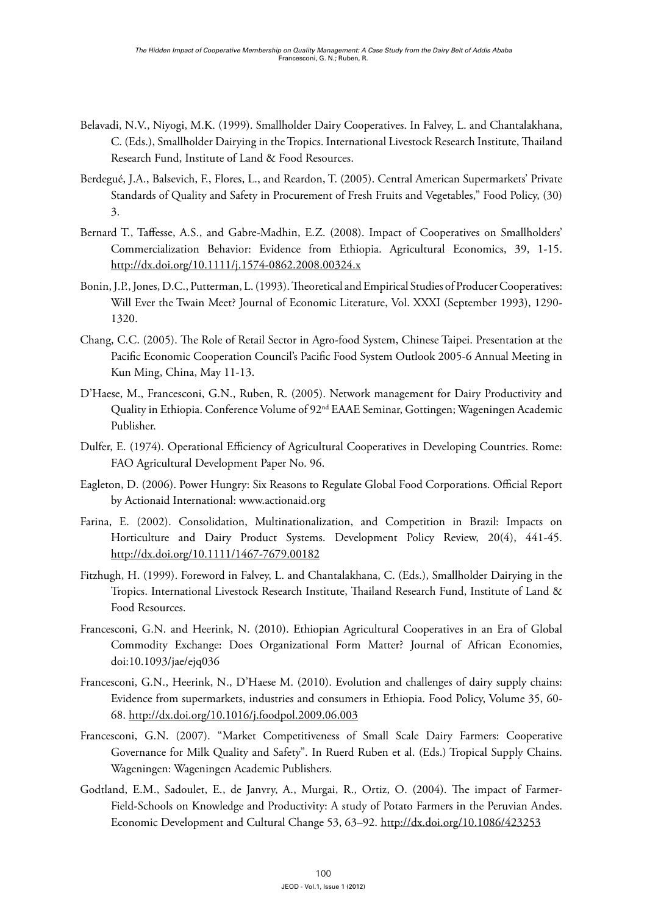- Belavadi, N.V., Niyogi, M.K. (1999). Smallholder Dairy Cooperatives. In Falvey, L. and Chantalakhana, C. (Eds.), Smallholder Dairying in the Tropics. International Livestock Research Institute, Thailand Research Fund, Institute of Land & Food Resources.
- Berdegué, J.A., Balsevich, F., Flores, L., and Reardon, T. (2005). Central American Supermarkets' Private Standards of Quality and Safety in Procurement of Fresh Fruits and Vegetables," Food Policy, (30) 3.
- [Bernard T., Taffesse, A.S., and Gabre-Madhin, E.Z. \(2008\). Impact of Cooperatives on Smallholders'](http://dx.doi.org/%31%30%2E%31%31%31%31%2F%6A%2E%31%35%37%34%2D%30%38%36%32%2E%32%30%30%38%2E%30%30%33%32%34%2E%78)  [Commercialization Behavior: Evidence from Ethiopia. Agricultural Economics, 39, 1-15.](http://dx.doi.org/%31%30%2E%31%31%31%31%2F%6A%2E%31%35%37%34%2D%30%38%36%32%2E%32%30%30%38%2E%30%30%33%32%34%2E%78) http://dx.doi.org/10.1111/j.1574-0862.2008.00324.x
- Bonin, J.P., Jones, D.C., Putterman, L. (1993). Theoretical and Empirical Studies of Producer Cooperatives: Will Ever the Twain Meet? Journal of Economic Literature, Vol. XXXI (September 1993), 1290- 1320.
- Chang, C.C. (2005). The Role of Retail Sector in Agro-food System, Chinese Taipei. Presentation at the Pacific Economic Cooperation Council's Pacific Food System Outlook 2005-6 Annual Meeting in Kun Ming, China, May 11-13.
- D'Haese, M., Francesconi, G.N., Ruben, R. (2005). Network management for Dairy Productivity and Quality in Ethiopia. Conference Volume of 92<sup>nd</sup> EAAE Seminar, Gottingen; Wageningen Academic Publisher.
- Dulfer, E. (1974). Operational Efficiency of Agricultural Cooperatives in Developing Countries. Rome: FAO Agricultural Development Paper No. 96.
- Eagleton, D. (2006). Power Hungry: Six Reasons to Regulate Global Food Corporations. Official Report by Actionaid International[: www.actionaid.org](http://www.actionaid.org)
- [Farina, E. \(2002\). Consolidation, Multinationalization, and Competition in Brazil: Impacts on](http://dx.doi.org/%31%30%2E%31%31%31%31%2F%31%34%36%37%2D%37%36%37%39%2E%30%30%31%38%32)  [Horticulture and Dairy Product Systems. Development Policy Review, 20\(4\), 441-45.](http://dx.doi.org/%31%30%2E%31%31%31%31%2F%31%34%36%37%2D%37%36%37%39%2E%30%30%31%38%32) http://dx.doi.org/10.1111/1467-7679.00182
- Fitzhugh, H. (1999). Foreword in Falvey, L. and Chantalakhana, C. (Eds.), Smallholder Dairying in the Tropics. International Livestock Research Institute, Thailand Research Fund, Institute of Land & Food Resources.
- [Francesconi, G.N. and Heerink, N. \(2010\). Ethiopian Agricultural Cooperatives in an Era of Global](http://dx.doi.org/%31%30%2E%31%30%31%36%2F%6A%2E%66%6F%6F%64%70%6F%6C%2E%32%30%30%39%2E%30%36%2E%30%30%33)  [Commodity Exchange: Does Organizational Form Matter? Journal of African Economies,](http://dx.doi.org/%31%30%2E%31%30%31%36%2F%6A%2E%66%6F%6F%64%70%6F%6C%2E%32%30%30%39%2E%30%36%2E%30%30%33)  [doi:10.1093/jae/ejq036](http://dx.doi.org/%31%30%2E%31%30%31%36%2F%6A%2E%66%6F%6F%64%70%6F%6C%2E%32%30%30%39%2E%30%36%2E%30%30%33)
- Francesconi, G.N., Heerink, N., D'Haese M. (2010). Evolution and challenges of dairy supply chains: Evidence from supermarkets, industries and consumers in Ethiopia. Food Policy, Volume 35, 60- 68. http://dx.doi.org/10.1016/j.foodpol.2009.06.003
- Francesconi, G.N. (2007). "Market Competitiveness of Small Scale Dairy Farmers: Cooperative Governance for Milk Quality and Safety". In Ruerd Ruben et al. (Eds.) Tropical Supply Chains. Wageningen: Wageningen Academic Publishers.
- Godtland, E.M., Sadoulet, E., de Janvry, A., Murgai, R., Ortiz, O. (2004). The impact of Farmer-Field-Schools on Knowledge and Productivity: A study of Potato Farmers in the Peruvian Andes. Economic Development and Cultural Change 53, 63–92. http://dx.doi.org/10.1086/423253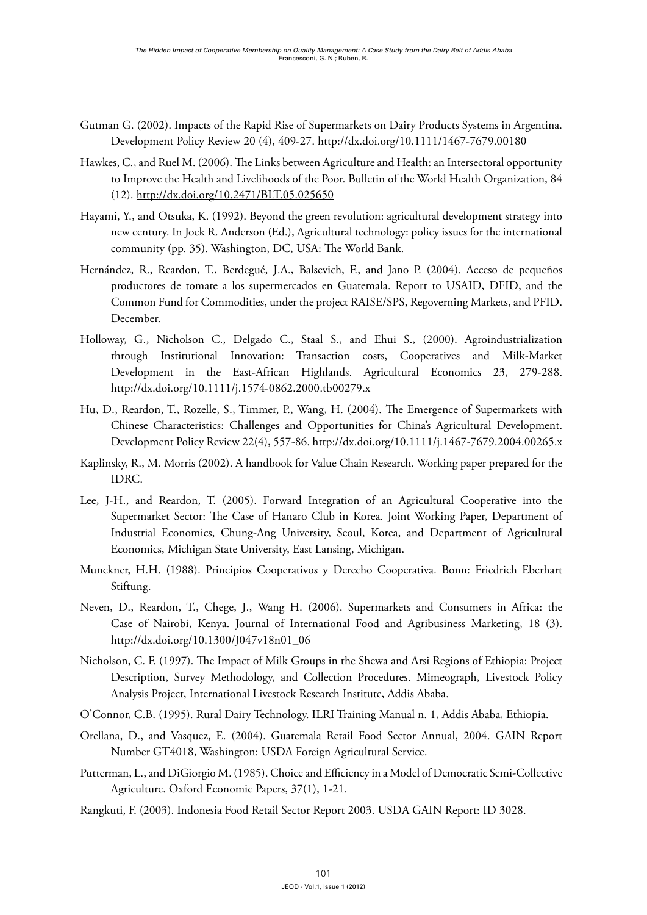- [Gutman G. \(2002\). Impacts of the Rapid Rise of Supermarkets on Dairy Products Systems in Argentina.](http://dx.doi.org/%31%30%2E%31%31%31%31%2F%31%34%36%37%2D%37%36%37%39%2E%30%30%31%38%30)  [Development Policy Review 20 \(4\), 409-27.](http://dx.doi.org/%31%30%2E%31%31%31%31%2F%31%34%36%37%2D%37%36%37%39%2E%30%30%31%38%30) http://dx.doi.org/10.1111/1467-7679.00180
- [Hawkes, C., and Ruel M. \(2006\). The Links between Agriculture and Health: an Intersectoral opportunity](http://dx.doi.org/%31%30%2E%32%34%37%31%2F%42%4C%54%2E%30%35%2E%30%32%35%36%35%30)  [to Improve the Health and Livelihoods of the Poor. Bulletin of the World Health Organization, 84](http://dx.doi.org/%31%30%2E%32%34%37%31%2F%42%4C%54%2E%30%35%2E%30%32%35%36%35%30)  [\(12\).](http://dx.doi.org/%31%30%2E%32%34%37%31%2F%42%4C%54%2E%30%35%2E%30%32%35%36%35%30) http://dx.doi.org/10.2471/BLT.05.025650
- Hayami, Y., and Otsuka, K. (1992). Beyond the green revolution: agricultural development strategy into new century. In Jock R. Anderson (Ed.), Agricultural technology: policy issues for the international community (pp. 35). Washington, DC, USA: The World Bank.
- Hernández, R., Reardon, T., Berdegué, J.A., Balsevich, F., and Jano P. (2004). Acceso de pequeños productores de tomate a los supermercados en Guatemala. Report to USAID, DFID, and the Common Fund for Commodities, under the project RAISE/SPS, Regoverning Markets, and PFID. December.
- [Holloway, G., Nicholson C., Delgado C., Staal S., and Ehui S., \(2000\). Agroindustrialization](http://dx.doi.org/%31%30%2E%31%31%31%31%2F%6A%2E%31%35%37%34%2D%30%38%36%32%2E%32%30%30%30%2E%74%62%30%30%32%37%39%2E%78)  [through Institutional Innovation: Transaction costs, Cooperatives and Milk-Market](http://dx.doi.org/%31%30%2E%31%31%31%31%2F%6A%2E%31%35%37%34%2D%30%38%36%32%2E%32%30%30%30%2E%74%62%30%30%32%37%39%2E%78)  [Development in the East-African Highlands. Agricultural Economics 23, 279-288.](http://dx.doi.org/%31%30%2E%31%31%31%31%2F%6A%2E%31%35%37%34%2D%30%38%36%32%2E%32%30%30%30%2E%74%62%30%30%32%37%39%2E%78)  http://dx.doi.org/10.1111/j.1574-0862.2000.tb00279.x
- [Hu, D., Reardon, T., Rozelle, S., Timmer, P., Wang, H. \(2004\). The Emergence of Supermarkets with](http://dx.doi.org/%31%30%2E%31%31%31%31%2F%6A%2E%31%34%36%37%2D%37%36%37%39%2E%32%30%30%34%2E%30%30%32%36%35%2E%78)  [Chinese Characteristics: Challenges and Opportunities for China's Agricultural Development.](http://dx.doi.org/%31%30%2E%31%31%31%31%2F%6A%2E%31%34%36%37%2D%37%36%37%39%2E%32%30%30%34%2E%30%30%32%36%35%2E%78)  [Development Policy Review 22\(4\), 557-86.](http://dx.doi.org/%31%30%2E%31%31%31%31%2F%6A%2E%31%34%36%37%2D%37%36%37%39%2E%32%30%30%34%2E%30%30%32%36%35%2E%78) http://dx.doi.org/10.1111/j.1467-7679.2004.00265.x
- Kaplinsky, R., M. Morris (2002). A handbook for Value Chain Research. Working paper prepared for the IDRC.
- Lee, J-H., and Reardon, T. (2005). Forward Integration of an Agricultural Cooperative into the Supermarket Sector: The Case of Hanaro Club in Korea. Joint Working Paper, Department of Industrial Economics, Chung-Ang University, Seoul, Korea, and Department of Agricultural Economics, Michigan State University, East Lansing, Michigan.
- Munckner, H.H. (1988). Principios Cooperativos y Derecho Cooperativa. Bonn: Friedrich Eberhart Stiftung.
- [Neven, D., Reardon, T., Chege, J., Wang H. \(2006\). Supermarkets and Consumers in Africa: the](http://dx.doi.org/%31%30%2E%31%33%30%30%2F%4A%30%34%37%76%31%38%6E%30%31%5F%30%36)  [Case of Nairobi, Kenya. Journal of International Food and Agribusiness Marketing, 18 \(3\).](http://dx.doi.org/%31%30%2E%31%33%30%30%2F%4A%30%34%37%76%31%38%6E%30%31%5F%30%36) http://dx.doi.org/10.1300/J047v18n01\_06
- Nicholson, C. F. (1997). The Impact of Milk Groups in the Shewa and Arsi Regions of Ethiopia: Project Description, Survey Methodology, and Collection Procedures. Mimeograph, Livestock Policy Analysis Project, International Livestock Research Institute, Addis Ababa.
- O'Connor, C.B. (1995). Rural Dairy Technology. ILRI Training Manual n. 1, Addis Ababa, Ethiopia.
- Orellana, D., and Vasquez, E. (2004). Guatemala Retail Food Sector Annual, 2004. GAIN Report Number GT4018, Washington: USDA Foreign Agricultural Service.
- Putterman, L., and DiGiorgio M. (1985). Choice and Efficiency in a Model of Democratic Semi-Collective Agriculture. Oxford Economic Papers, 37(1), 1-21.
- Rangkuti, F. (2003). Indonesia Food Retail Sector Report 2003. USDA GAIN Report: ID 3028.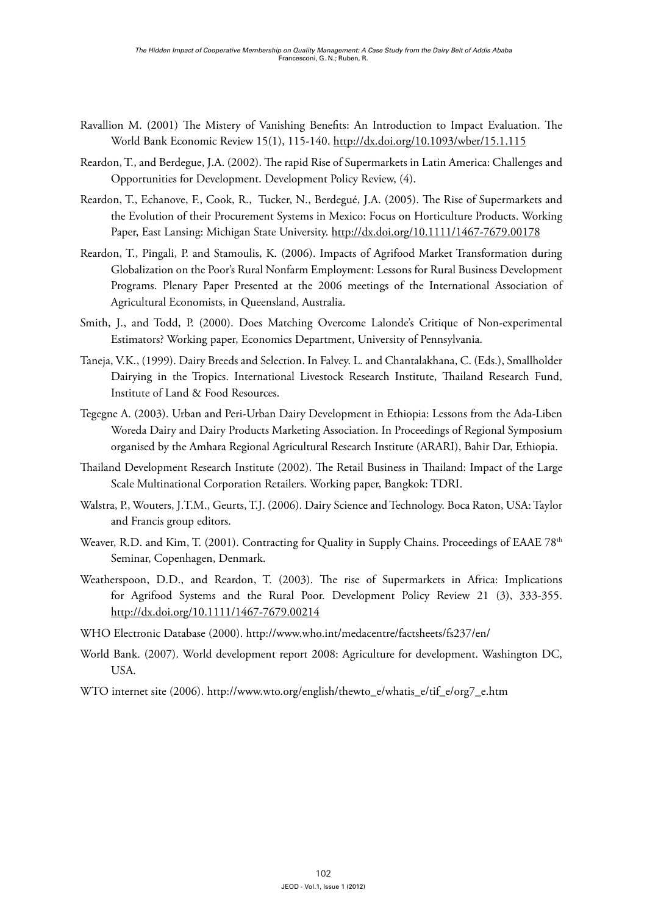- [Ravallion M. \(2001\) The Mistery of Vanishing Benefits: An Introduction to Impact Evaluation. The](http://dx.doi.org/%31%30%2E%31%30%39%33%2F%77%62%65%72%2F%31%35%2E%31%2E%31%31%35)  [World Bank Economic Review 15\(1\), 115-140. h](http://dx.doi.org/%31%30%2E%31%30%39%33%2F%77%62%65%72%2F%31%35%2E%31%2E%31%31%35)ttp://dx.doi.org/10.1093/wber/15.1.115
- [Reardon, T., and Berdegue, J.A. \(2002\). The rapid Rise of Supermarkets in Latin America: Challenges and](http://dx.doi.org/%31%30%2E%31%31%31%31%2F%31%34%36%37%2D%37%36%37%39%2E%30%30%31%37%38)  [Opportunities for Development. Development Policy Review, \(4\).](http://dx.doi.org/%31%30%2E%31%31%31%31%2F%31%34%36%37%2D%37%36%37%39%2E%30%30%31%37%38)
- Reardon, T., Echanove, F., Cook, R., Tucker, N., Berdegué, J.A. (2005). The Rise of Supermarkets and the Evolution of their Procurement Systems in Mexico: Focus on Horticulture Products. Working Paper, East Lansing: Michigan State University. http://dx.doi.org/10.1111/1467-7679.00178
- Reardon, T., Pingali, P. and Stamoulis, K. (2006). Impacts of Agrifood Market Transformation during Globalization on the Poor's Rural Nonfarm Employment: Lessons for Rural Business Development Programs. Plenary Paper Presented at the 2006 meetings of the International Association of Agricultural Economists, in Queensland, Australia.
- Smith, J., and Todd, P. (2000). Does Matching Overcome Lalonde's Critique of Non-experimental Estimators? Working paper, Economics Department, University of Pennsylvania.
- Taneja, V.K., (1999). Dairy Breeds and Selection. In Falvey. L. and Chantalakhana, C. (Eds.), Smallholder Dairying in the Tropics. International Livestock Research Institute, Thailand Research Fund, Institute of Land & Food Resources.
- Tegegne A. (2003). Urban and Peri-Urban Dairy Development in Ethiopia: Lessons from the Ada-Liben Woreda Dairy and Dairy Products Marketing Association. In Proceedings of Regional Symposium organised by the Amhara Regional Agricultural Research Institute (ARARI), Bahir Dar, Ethiopia.
- Thailand Development Research Institute (2002). The Retail Business in Thailand: Impact of the Large Scale Multinational Corporation Retailers. Working paper, Bangkok: TDRI.
- Walstra, P., Wouters, J.T.M., Geurts, T.J. (2006). Dairy Science and Technology. Boca Raton, USA: Taylor and Francis group editors.
- Weaver, R.D. and Kim, T. (2001). Contracting for Quality in Supply Chains. Proceedings of EAAE 78<sup>th</sup> Seminar, Copenhagen, Denmark.
- [Weatherspoon, D.D., and Reardon, T. \(2003\). The rise of Supermarkets in Africa: Implications](http://dx.doi.org/%31%30%2E%31%31%31%31%2F%31%34%36%37%2D%37%36%37%39%2E%30%30%32%31%34)  [for Agrifood Systems and the Rural Poor. Development Policy Review 21 \(3\), 333-355.](http://dx.doi.org/%31%30%2E%31%31%31%31%2F%31%34%36%37%2D%37%36%37%39%2E%30%30%32%31%34) http://dx.doi.org/10.1111/1467-7679.00214
- WHO Electronic Database (2000).<http://www.who.int/medacentre/factsheets/fs237/en/>
- World Bank. (2007). World development report 2008: Agriculture for development. Washington DC, USA.
- WTO internet site (2006). [http://www.wto.org/english/thewto\\_e/whatis\\_e/tif\\_e/org7\\_e.htm](http://www.wto.org/english/thewto_e/whatis_e/tif_e/org7_e.htm)